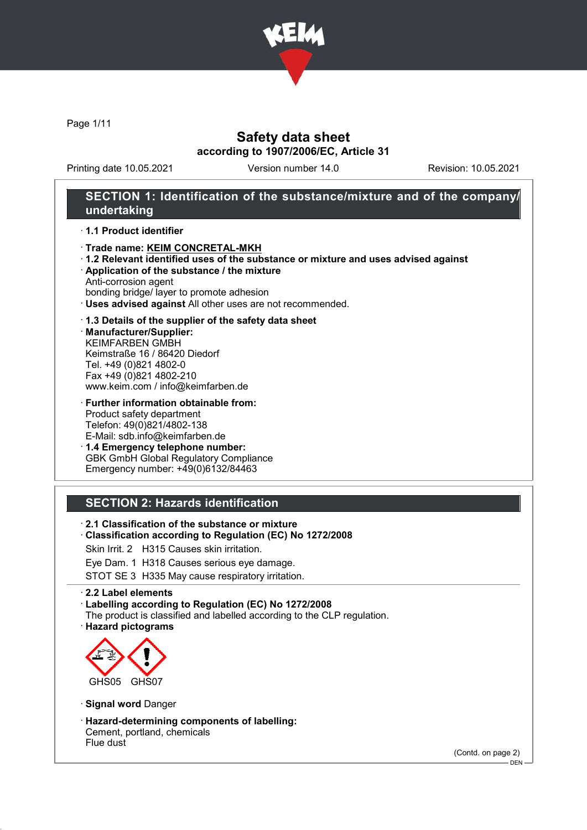

Page 1/11

## Safety data sheet according to 1907/2006/EC, Article 31

Printing date 10.05.2021 Version number 14.0 Revision: 10.05.2021

## SECTION 1: Identification of the substance/mixture and of the company/ undertaking

#### · 1.1 Product identifier

- · Trade name: KEIM CONCRETAL-MKH
- · 1.2 Relevant identified uses of the substance or mixture and uses advised against
- · Application of the substance / the mixture
- Anti-corrosion agent
- bonding bridge/ layer to promote adhesion · Uses advised against All other uses are not recommended.

#### · 1.3 Details of the supplier of the safety data sheet

· Manufacturer/Supplier: KEIMFARBEN GMBH Keimstraße 16 / 86420 Diedorf Tel. +49 (0)821 4802-0 Fax +49 (0)821 4802-210 www.keim.com / info@keimfarben.de

· Further information obtainable from: Product safety department Telefon: 49(0)821/4802-138 E-Mail: sdb.info@keimfarben.de

· 1.4 Emergency telephone number: GBK GmbH Global Regulatory Compliance Emergency number: +49(0)6132/84463

### SECTION 2: Hazards identification

- · 2.1 Classification of the substance or mixture
- · Classification according to Regulation (EC) No 1272/2008
- Skin Irrit. 2 H315 Causes skin irritation.
- Eye Dam. 1 H318 Causes serious eye damage.

STOT SE 3 H335 May cause respiratory irritation.

#### · 2.2 Label elements

· Labelling according to Regulation (EC) No 1272/2008

- The product is classified and labelled according to the CLP regulation.
- · Hazard pictograms



- · Signal word Danger
- · Hazard-determining components of labelling: Cement, portland, chemicals Flue dust

(Contd. on page 2)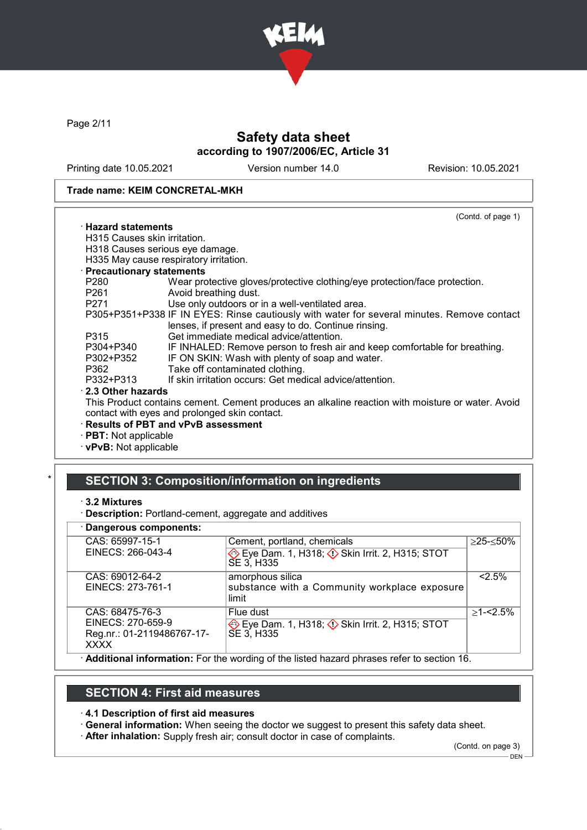

Page 2/11

# Safety data sheet according to 1907/2006/EC, Article 31

Printing date 10.05.2021 Version number 14.0 Revision: 10.05.2021

#### Trade name: KEIM CONCRETAL-MKH

|                              | (Contd. of page 1)                                                                               |
|------------------------------|--------------------------------------------------------------------------------------------------|
| · Hazard statements          |                                                                                                  |
| H315 Causes skin irritation. |                                                                                                  |
|                              | H318 Causes serious eye damage.                                                                  |
|                              | H335 May cause respiratory irritation.                                                           |
| · Precautionary statements   |                                                                                                  |
| P280                         | Wear protective gloves/protective clothing/eye protection/face protection.                       |
| P261 and the P261            | Avoid breathing dust.                                                                            |
| P271 and the P271            | Use only outdoors or in a well-ventilated area.                                                  |
|                              | P305+P351+P338 IF IN EYES: Rinse cautiously with water for several minutes. Remove contact       |
|                              | lenses, if present and easy to do. Continue rinsing.                                             |
| P315                         | Get immediate medical advice/attention.                                                          |
| P304+P340                    | IF INHALED: Remove person to fresh air and keep comfortable for breathing.                       |
| P302+P352                    | IF ON SKIN: Wash with plenty of soap and water.                                                  |
| P362                         | Take off contaminated clothing.                                                                  |
| P332+P313                    | If skin irritation occurs: Get medical advice/attention.                                         |
| 2.3 Other hazards            |                                                                                                  |
|                              | This Product contains cement. Cement produces an alkaline reaction with moisture or water. Avoid |
|                              | contact with eyes and prolonged skin contact.                                                    |
|                              | · Results of PBT and vPvB assessment                                                             |
| $\cdot$ PBT: Not applicable  |                                                                                                  |
|                              |                                                                                                  |

· vPvB: Not applicable

# SECTION 3: Composition/information on ingredients

- · 3.2 Mixtures
- · Description: Portland-cement, aggregate and additives

### · Dangerous components:

| <b>Pangorous components.</b> |                                                                                          |              |
|------------------------------|------------------------------------------------------------------------------------------|--------------|
| CAS: 65997-15-1              | Cement, portland, chemicals                                                              | ≥25-≤50%     |
| EINECS: 266-043-4            | Eye Dam. 1, H318; $\Diamond$ Skin Irrit. 2, H315; STOT<br>SE 3, H335                     |              |
| CAS: 69012-64-2              | amorphous silica                                                                         | 2.5%         |
| EINECS: 273-761-1            | substance with a Community workplace exposure                                            |              |
|                              | limit                                                                                    |              |
| CAS: 68475-76-3              | Flue dust                                                                                | $>1 - 2.5\%$ |
| EINECS: 270-659-9            | Eye Dam. 1, H318; $\Diamond$ Skin Irrit. 2, H315; STOT                                   |              |
| Reg.nr.: 01-2119486767-17-   | SE 3, H335                                                                               |              |
| <b>XXXX</b>                  |                                                                                          |              |
|                              | Additional information: For the werding of the listed begand phrease refer to eastien 40 |              |

### · Additional information: For the wording of the listed hazard phrases refer to section 16.

# SECTION 4: First aid measures

### · 4.1 Description of first aid measures

· General information: When seeing the doctor we suggest to present this safety data sheet.

· After inhalation: Supply fresh air; consult doctor in case of complaints.

(Contd. on page 3)  $-$  DEN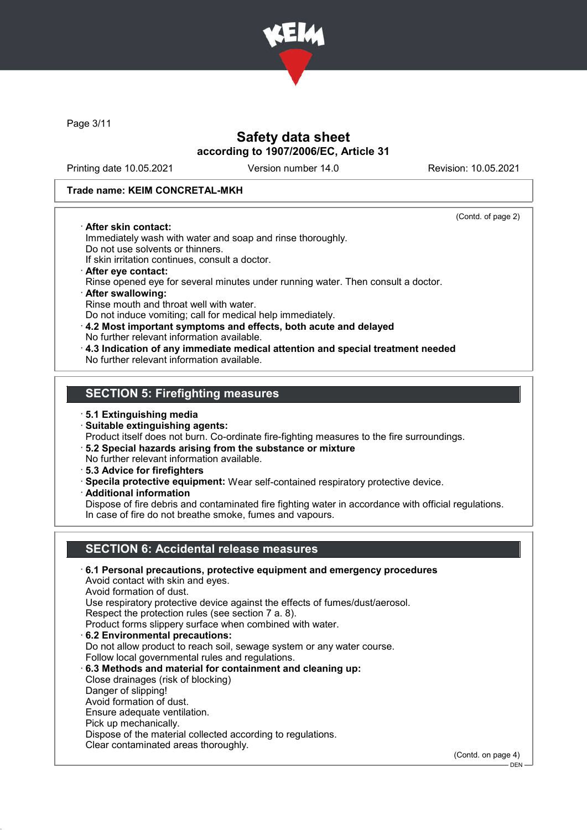

Page 3/11

# Safety data sheet according to 1907/2006/EC, Article 31

Printing date 10.05.2021 Version number 14.0 Revision: 10.05.2021

(Contd. of page 2)

### Trade name: KEIM CONCRETAL-MKH

#### · After skin contact:

Immediately wash with water and soap and rinse thoroughly. Do not use solvents or thinners.

If skin irritation continues, consult a doctor.

- · After eye contact: Rinse opened eye for several minutes under running water. Then consult a doctor.
- · After swallowing: Rinse mouth and throat well with water. Do not induce vomiting; call for medical help immediately.
- · 4.2 Most important symptoms and effects, both acute and delayed
- No further relevant information available.
- · 4.3 Indication of any immediate medical attention and special treatment needed No further relevant information available.

# SECTION 5: Firefighting measures

### · 5.1 Extinguishing media

· Suitable extinguishing agents:

Product itself does not burn. Co-ordinate fire-fighting measures to the fire surroundings.

- · 5.2 Special hazards arising from the substance or mixture No further relevant information available.
- · 5.3 Advice for firefighters
- 
- · Specila protective equipment: Wear self-contained respiratory protective device.
- · Additional information

Dispose of fire debris and contaminated fire fighting water in accordance with official regulations. In case of fire do not breathe smoke, fumes and vapours.

# SECTION 6: Accidental release measures

· 6.1 Personal precautions, protective equipment and emergency procedures Avoid contact with skin and eyes. Avoid formation of dust. Use respiratory protective device against the effects of fumes/dust/aerosol. Respect the protection rules (see section 7 a. 8). Product forms slippery surface when combined with water. · 6.2 Environmental precautions: Do not allow product to reach soil, sewage system or any water course. Follow local governmental rules and regulations. · 6.3 Methods and material for containment and cleaning up: Close drainages (risk of blocking) Danger of slipping! Avoid formation of dust. Ensure adequate ventilation. Pick up mechanically. Dispose of the material collected according to regulations. Clear contaminated areas thoroughly. (Contd. on page 4)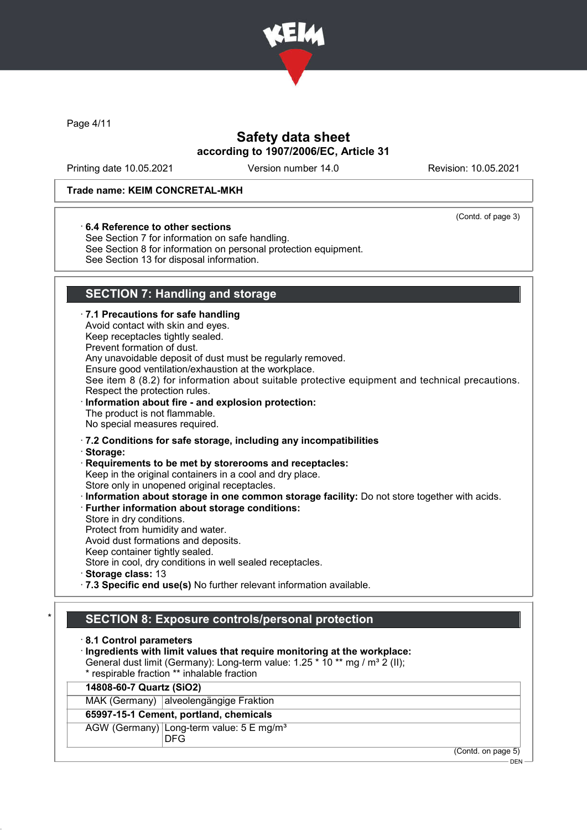

Page 4/11

# Safety data sheet according to 1907/2006/EC, Article 31

Printing date 10.05.2021 Version number 14.0 Revision: 10.05.2021

(Contd. of page 3)

### Trade name: KEIM CONCRETAL-MKH

#### · 6.4 Reference to other sections

See Section 7 for information on safe handling. See Section 8 for information on personal protection equipment. See Section 13 for disposal information.

# SECTION 7: Handling and storage

|         | · 7.1 Precautions for safe handling<br>Avoid contact with skin and eyes.<br>Keep receptacles tightly sealed.<br>Prevent formation of dust.<br>Any unavoidable deposit of dust must be regularly removed.<br>Ensure good ventilation/exhaustion at the workplace.<br>See item 8 (8.2) for information about suitable protective equipment and technical precautions.<br>Respect the protection rules.<br>Information about fire - and explosion protection:<br>The product is not flammable.<br>No special measures required.                                                                                                                                                                                |
|---------|-------------------------------------------------------------------------------------------------------------------------------------------------------------------------------------------------------------------------------------------------------------------------------------------------------------------------------------------------------------------------------------------------------------------------------------------------------------------------------------------------------------------------------------------------------------------------------------------------------------------------------------------------------------------------------------------------------------|
|         | .7.2 Conditions for safe storage, including any incompatibilities<br>· Storage:<br>Requirements to be met by storerooms and receptacles:<br>Keep in the original containers in a cool and dry place.<br>Store only in unopened original receptacles.<br>· Information about storage in one common storage facility: Do not store together with acids.<br>· Further information about storage conditions:<br>Store in dry conditions.<br>Protect from humidity and water.<br>Avoid dust formations and deposits.<br>Keep container tightly sealed.<br>Store in cool, dry conditions in well sealed receptacles.<br>Storage class: 13<br>· 7.3 Specific end use(s) No further relevant information available. |
| $\star$ | <b>SECTION 8: Exposure controls/personal protection</b><br>8.1 Control parameters<br>Ingredients with limit values that require monitoring at the workplace:<br>General dust limit (Germany): Long-term value: 1.25 * 10 ** mg / m <sup>3</sup> 2 (II);<br>* respirable fraction ** inhalable fraction<br>14808-60-7 Quartz (SiO2)<br>MAK (Germany) alveolengängige Fraktion<br>65997-15-1 Cement, portland, chemicals<br>AGW (Germany) Long-term value: 5 E mg/m <sup>3</sup><br><b>DFG</b>                                                                                                                                                                                                                |

(Contd. on page 5)

<sup>-</sup> DEN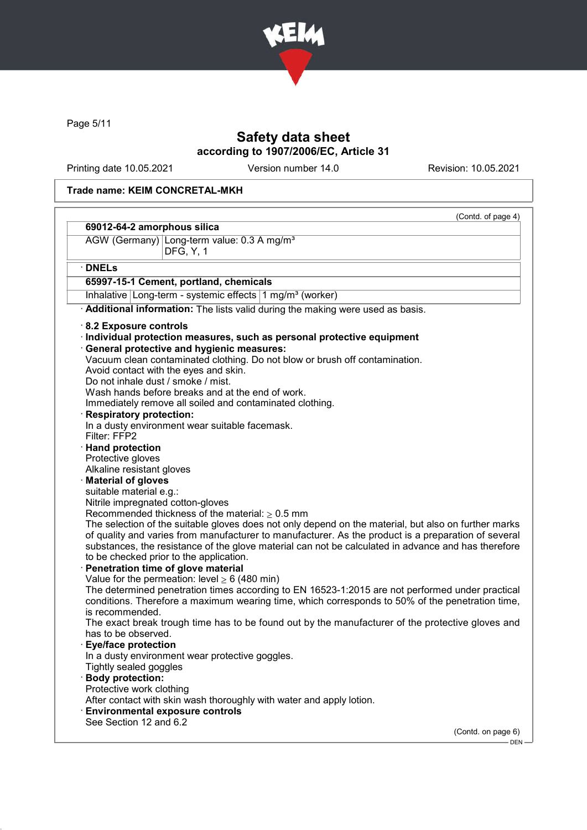

Page 5/11

# Safety data sheet according to 1907/2006/EC, Article 31

Printing date 10.05.2021 Version number 14.0 Revision: 10.05.2021

### Trade name: KEIM CONCRETAL-MKH

| 69012-64-2 amorphous silica                                                                          | (Contd. of page 4) |
|------------------------------------------------------------------------------------------------------|--------------------|
| AGW (Germany) Long-term value: 0.3 A mg/m <sup>3</sup>                                               |                    |
| DFG, Y, 1                                                                                            |                    |
| $\cdot$ DNELs                                                                                        |                    |
| 65997-15-1 Cement, portland, chemicals                                                               |                    |
| Inhalative   Long-term - systemic effects   1 mg/m <sup>3</sup> (worker)                             |                    |
| Additional information: The lists valid during the making were used as basis.                        |                    |
| 8.2 Exposure controls                                                                                |                    |
| Individual protection measures, such as personal protective equipment                                |                    |
| General protective and hygienic measures:                                                            |                    |
| Vacuum clean contaminated clothing. Do not blow or brush off contamination.                          |                    |
| Avoid contact with the eyes and skin.                                                                |                    |
| Do not inhale dust / smoke / mist.                                                                   |                    |
| Wash hands before breaks and at the end of work.                                                     |                    |
| Immediately remove all soiled and contaminated clothing.                                             |                    |
| · Respiratory protection:                                                                            |                    |
| In a dusty environment wear suitable facemask.                                                       |                    |
| Filter: FFP2                                                                                         |                    |
| · Hand protection                                                                                    |                    |
| Protective gloves                                                                                    |                    |
| Alkaline resistant gloves                                                                            |                    |
| · Material of gloves                                                                                 |                    |
| suitable material e.g.:                                                                              |                    |
| Nitrile impregnated cotton-gloves                                                                    |                    |
| Recommended thickness of the material: $\geq 0.5$ mm                                                 |                    |
| The selection of the suitable gloves does not only depend on the material, but also on further marks |                    |
| of quality and varies from manufacturer to manufacturer. As the product is a preparation of several  |                    |
| substances, the resistance of the glove material can not be calculated in advance and has therefore  |                    |
| to be checked prior to the application.                                                              |                    |
| · Penetration time of glove material                                                                 |                    |
| Value for the permeation: level $\geq 6$ (480 min)                                                   |                    |
| The determined penetration times according to EN 16523-1:2015 are not performed under practical      |                    |
| conditions. Therefore a maximum wearing time, which corresponds to 50% of the penetration time,      |                    |
| is recommended.                                                                                      |                    |
| The exact break trough time has to be found out by the manufacturer of the protective gloves and     |                    |
| has to be observed.                                                                                  |                    |
| <b>Eye/face protection</b>                                                                           |                    |
| In a dusty environment wear protective goggles.                                                      |                    |
| Tightly sealed goggles                                                                               |                    |
| · Body protection:                                                                                   |                    |
| Protective work clothing                                                                             |                    |
| After contact with skin wash thoroughly with water and apply lotion.                                 |                    |
| <b>Environmental exposure controls</b>                                                               |                    |
| See Section 12 and 6.2                                                                               |                    |
|                                                                                                      | (Contd. on page 6) |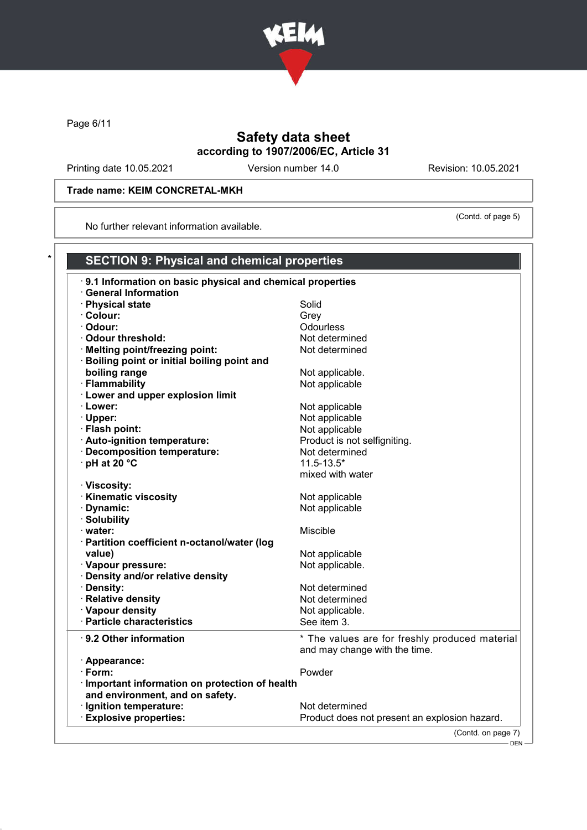

Page 6/11

# Safety data sheet according to 1907/2006/EC, Article 31

Printing date 10.05.2021 Version number 14.0 Revision: 10.05.2021

(Contd. of page 5)

### Trade name: KEIM CONCRETAL-MKH

No further relevant information available.

| 9.1 Information on basic physical and chemical properties |                                                |
|-----------------------------------------------------------|------------------------------------------------|
| · General Information                                     |                                                |
| · Physical state                                          | Solid                                          |
| · Colour:                                                 | Grey                                           |
| · Odour:                                                  | Odourless                                      |
| · Odour threshold:                                        | Not determined                                 |
| · Melting point/freezing point:                           | Not determined                                 |
| · Boiling point or initial boiling point and              |                                                |
| boiling range                                             | Not applicable.                                |
| · Flammability                                            | Not applicable                                 |
| · Lower and upper explosion limit                         |                                                |
| · Lower:                                                  | Not applicable                                 |
| · Upper:                                                  | Not applicable                                 |
| · Flash point:                                            | Not applicable                                 |
| · Auto-ignition temperature:                              | Product is not selfigniting.                   |
| · Decomposition temperature:                              | Not determined                                 |
| · pH at 20 °C                                             | $11.5 - 13.5*$                                 |
|                                                           | mixed with water                               |
| · Viscosity:                                              |                                                |
| <b>Kinematic viscosity</b>                                | Not applicable                                 |
| · Dynamic:                                                | Not applicable                                 |
| · Solubility                                              |                                                |
| · water:                                                  | Miscible                                       |
| · Partition coefficient n-octanol/water (log              |                                                |
| value)                                                    | Not applicable                                 |
| · Vapour pressure:                                        | Not applicable.                                |
| · Density and/or relative density                         |                                                |
| · Density:                                                | Not determined                                 |
| · Relative density                                        | Not determined                                 |
| · Vapour density                                          | Not applicable.                                |
| · Particle characteristics                                | See item 3.                                    |
| 9.2 Other information                                     | * The values are for freshly produced material |
|                                                           | and may change with the time.                  |
| · Appearance:                                             |                                                |
| · Form:                                                   | Powder                                         |
| · Important information on protection of health           |                                                |
| and environment, and on safety.                           |                                                |
| · Ignition temperature:                                   | Not determined                                 |
| <b>Explosive properties:</b>                              | Product does not present an explosion hazard.  |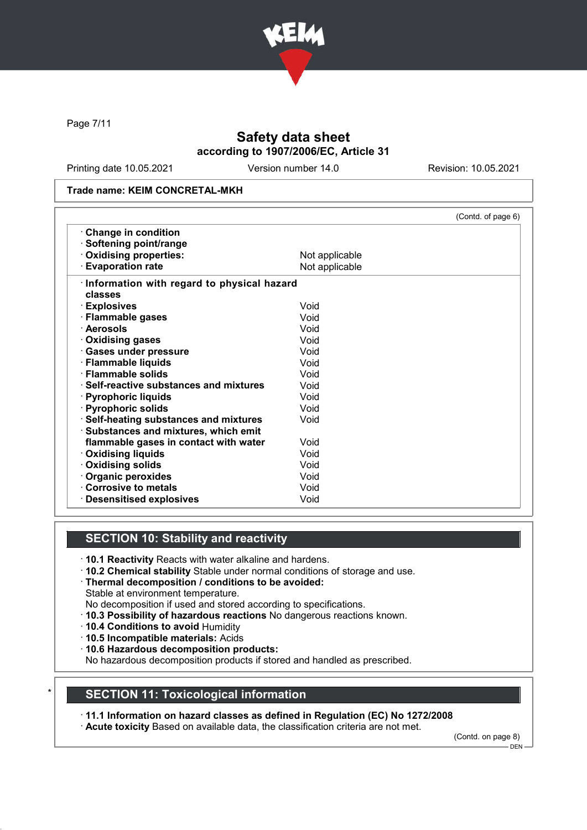

Page 7/11

# Safety data sheet according to 1907/2006/EC, Article 31

Printing date 10.05.2021 Version number 14.0 Revision: 10.05.2021

#### Trade name: KEIM CONCRETAL-MKH

|                                               |                | (Contd. of page 6) |
|-----------------------------------------------|----------------|--------------------|
| $\cdot$ Change in condition                   |                |                    |
| · Softening point/range                       |                |                    |
| Oxidising properties:                         | Not applicable |                    |
| <b>Evaporation rate</b>                       | Not applicable |                    |
| Information with regard to physical hazard    |                |                    |
| classes                                       |                |                    |
| · Explosives                                  | Void           |                    |
| · Flammable gases                             | Void           |                    |
| · Aerosols                                    | Void           |                    |
| $\cdot$ Oxidising gases                       | Void           |                    |
| · Gases under pressure                        | Void           |                    |
| · Flammable liquids                           | Void           |                    |
| $\cdot$ Flammable solids                      | Void           |                    |
| $\cdot$ Self-reactive substances and mixtures | Void           |                    |
| · Pyrophoric liquids                          | Void           |                    |
| · Pyrophoric solids                           | Void           |                    |
| · Self-heating substances and mixtures        | Void           |                    |
| · Substances and mixtures, which emit         |                |                    |
| flammable gases in contact with water         | Void           |                    |
| <b>Oxidising liquids</b>                      | Void           |                    |
| Oxidising solids                              | Void           |                    |
| Organic peroxides                             | Void           |                    |
| <b>Corrosive to metals</b>                    | Void           |                    |
| <b>Desensitised explosives</b>                | Void           |                    |

### SECTION 10: Stability and reactivity

- · 10.1 Reactivity Reacts with water alkaline and hardens.
- · 10.2 Chemical stability Stable under normal conditions of storage and use.
- · Thermal decomposition / conditions to be avoided:
- Stable at environment temperature.
- No decomposition if used and stored according to specifications.
- · 10.3 Possibility of hazardous reactions No dangerous reactions known.
- · 10.4 Conditions to avoid Humidity
- · 10.5 Incompatible materials: Acids
- · 10.6 Hazardous decomposition products:

No hazardous decomposition products if stored and handled as prescribed.

### **SECTION 11: Toxicological information**

· 11.1 Information on hazard classes as defined in Regulation (EC) No 1272/2008

· Acute toxicity Based on available data, the classification criteria are not met.

(Contd. on page 8)

<sup>-</sup> DEN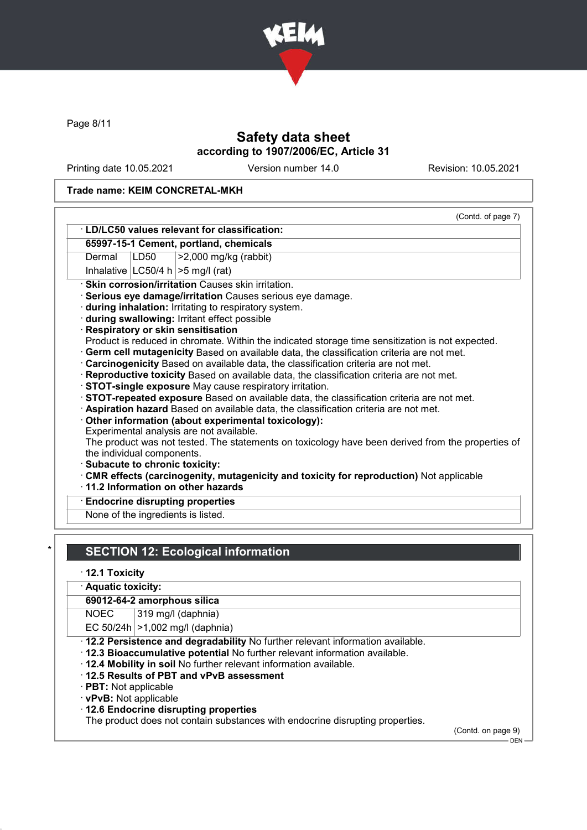

Page 8/11

# Safety data sheet according to 1907/2006/EC, Article 31

Printing date 10.05.2021 Version number 14.0 Revision: 10.05.2021

### Trade name: KEIM CONCRETAL-MKH

|        |                            | 65997-15-1 Cement, portland, chemicals                                                            |
|--------|----------------------------|---------------------------------------------------------------------------------------------------|
| Dermal | LD50                       |                                                                                                   |
|        |                            | $\geq$ 2,000 mg/kg (rabbit)                                                                       |
|        |                            | Inhalative $ LC50/4 h  > 5 mg/l$ (rat)                                                            |
|        |                            | · Skin corrosion/irritation Causes skin irritation.                                               |
|        |                            | Serious eye damage/irritation Causes serious eye damage.                                          |
|        |                            | during inhalation: Irritating to respiratory system.                                              |
|        |                            | · during swallowing: Irritant effect possible                                                     |
|        |                            | Respiratory or skin sensitisation                                                                 |
|        |                            | Product is reduced in chromate. Within the indicated storage time sensitization is not expected.  |
|        |                            | Germ cell mutagenicity Based on available data, the classification criteria are not met.          |
|        |                            |                                                                                                   |
|        |                            | Carcinogenicity Based on available data, the classification criteria are not met.                 |
|        |                            | · Reproductive toxicity Based on available data, the classification criteria are not met.         |
|        |                            | STOT-single exposure May cause respiratory irritation.                                            |
|        |                            | STOT-repeated exposure Based on available data, the classification criteria are not met.          |
|        |                            | Aspiration hazard Based on available data, the classification criteria are not met.               |
|        |                            | Other information (about experimental toxicology):                                                |
|        |                            | Experimental analysis are not available.                                                          |
|        |                            | The product was not tested. The statements on toxicology have been derived from the properties of |
|        | the individual components. |                                                                                                   |
|        |                            | Subacute to chronic toxicity:                                                                     |
|        |                            | CMR effects (carcinogenity, mutagenicity and toxicity for reproduction) Not applicable            |
|        |                            | 11.2 Information on other hazards                                                                 |
|        |                            | <b>Endocrine disrupting properties</b>                                                            |

# **SECTION 12: Ecological information**

· 12.1 Toxicity

· Aquatic toxicity:

### 69012-64-2 amorphous silica

NOEC 319 mg/l (daphnia)

EC  $50/24h$   $>1,002$  mg/l (daphnia)

- · 12.2 Persistence and degradability No further relevant information available.
- · 12.3 Bioaccumulative potential No further relevant information available.
- · 12.4 Mobility in soil No further relevant information available.
- · 12.5 Results of PBT and vPvB assessment
- · PBT: Not applicable
- · vPvB: Not applicable
- · 12.6 Endocrine disrupting properties

The product does not contain substances with endocrine disrupting properties.

(Contd. on page 9)

 $-$  DEN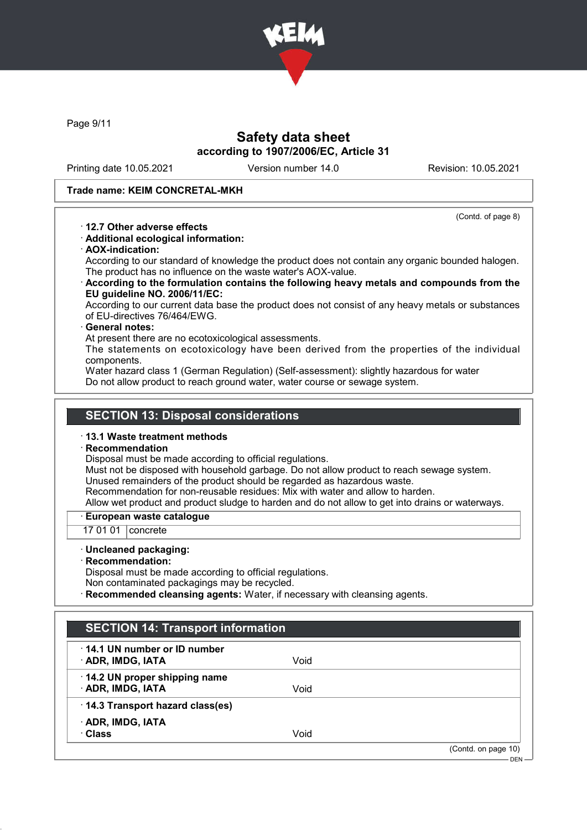

Page 9/11

# Safety data sheet according to 1907/2006/EC, Article 31

Printing date 10.05.2021 Version number 14.0 Revision: 10.05.2021

#### Trade name: KEIM CONCRETAL-MKH

(Contd. of page 8)

- · 12.7 Other adverse effects
- · Additional ecological information:
- · AOX-indication:

According to our standard of knowledge the product does not contain any organic bounded halogen. The product has no influence on the waste water's AOX-value.

· According to the formulation contains the following heavy metals and compounds from the EU guideline NO. 2006/11/EC:

According to our current data base the product does not consist of any heavy metals or substances of EU-directives 76/464/EWG.

#### General notes:

At present there are no ecotoxicological assessments.

The statements on ecotoxicology have been derived from the properties of the individual components.

Water hazard class 1 (German Regulation) (Self-assessment): slightly hazardous for water Do not allow product to reach ground water, water course or sewage system.

### SECTION 13: Disposal considerations

#### · 13.1 Waste treatment methods

**Recommendation** 

Disposal must be made according to official regulations.

Must not be disposed with household garbage. Do not allow product to reach sewage system. Unused remainders of the product should be regarded as hazardous waste.

Recommendation for non-reusable residues: Mix with water and allow to harden.

Allow wet product and product sludge to harden and do not allow to get into drains or waterways.

#### · European waste catalogue

17 01 01 concrete

· Uncleaned packaging:

· Recommendation:

Disposal must be made according to official regulations. Non contaminated packagings may be recycled.

**Recommended cleansing agents:** Water, if necessary with cleansing agents.

| $\cdot$ 14.1 UN number or ID number |      |  |
|-------------------------------------|------|--|
| · ADR, IMDG, IATA                   | Void |  |
| 14.2 UN proper shipping name        |      |  |
| · ADR, IMDG, IATA                   | Void |  |
| 14.3 Transport hazard class(es)     |      |  |
| · ADR, IMDG, IATA                   |      |  |
| · Class                             | Void |  |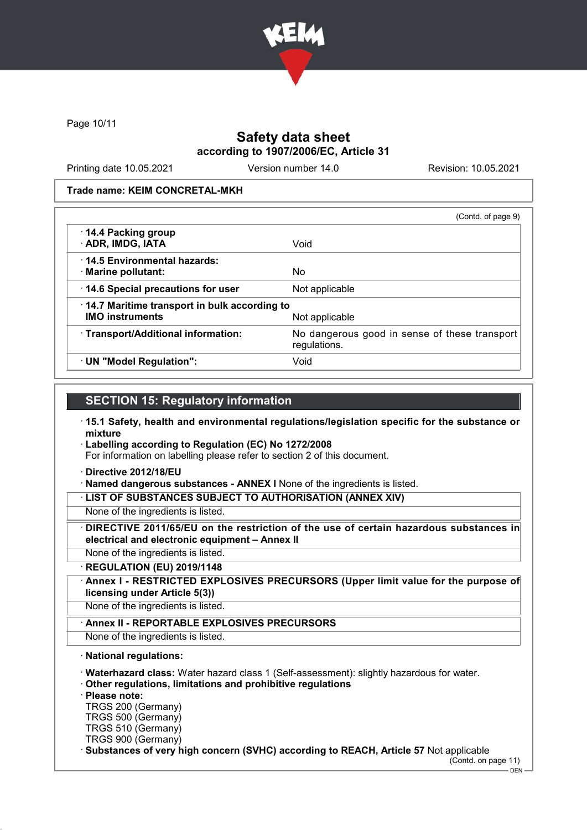

Page 10/11

### Safety data sheet according to 1907/2006/EC, Article 31

Printing date 10.05.2021 Version number 14.0 Revision: 10.05.2021

Trade name: KEIM CONCRETAL-MKH

|                                                                        | (Contd. of page 9)                                            |
|------------------------------------------------------------------------|---------------------------------------------------------------|
| 14.4 Packing group<br>· ADR, IMDG, IATA                                | Void                                                          |
| 14.5 Environmental hazards:<br>· Marine pollutant:                     | No.                                                           |
| 14.6 Special precautions for user                                      | Not applicable                                                |
| 14.7 Maritime transport in bulk according to<br><b>IMO instruments</b> | Not applicable                                                |
| · Transport/Additional information:                                    | No dangerous good in sense of these transport<br>regulations. |
| · UN "Model Regulation":                                               | Void                                                          |

## SECTION 15: Regulatory information

- · 15.1 Safety, health and environmental regulations/legislation specific for the substance or mixture
- · Labelling according to Regulation (EC) No 1272/2008

For information on labelling please refer to section 2 of this document.

· Directive 2012/18/EU

· Named dangerous substances - ANNEX I None of the ingredients is listed.

· LIST OF SUBSTANCES SUBJECT TO AUTHORISATION (ANNEX XIV)

- None of the ingredients is listed.
- DIRECTIVE 2011/65/EU on the restriction of the use of certain hazardous substances in electrical and electronic equipment – Annex II

None of the ingredients is listed.

· REGULATION (EU) 2019/1148

Annex I - RESTRICTED EXPLOSIVES PRECURSORS (Upper limit value for the purpose of licensing under Article 5(3))

None of the ingredients is listed.

### Annex II - REPORTABLE EXPLOSIVES PRECURSORS

None of the ingredients is listed.

### · National regulations:

· Waterhazard class: Water hazard class 1 (Self-assessment): slightly hazardous for water.

· Other regulations, limitations and prohibitive regulations

· Please note:

TRGS 200 (Germany) TRGS 500 (Germany)

TRGS 510 (Germany) TRGS 900 (Germany)

· Substances of very high concern (SVHC) according to REACH, Article 57 Not applicable

(Contd. on page 11)  $-$  DEN -